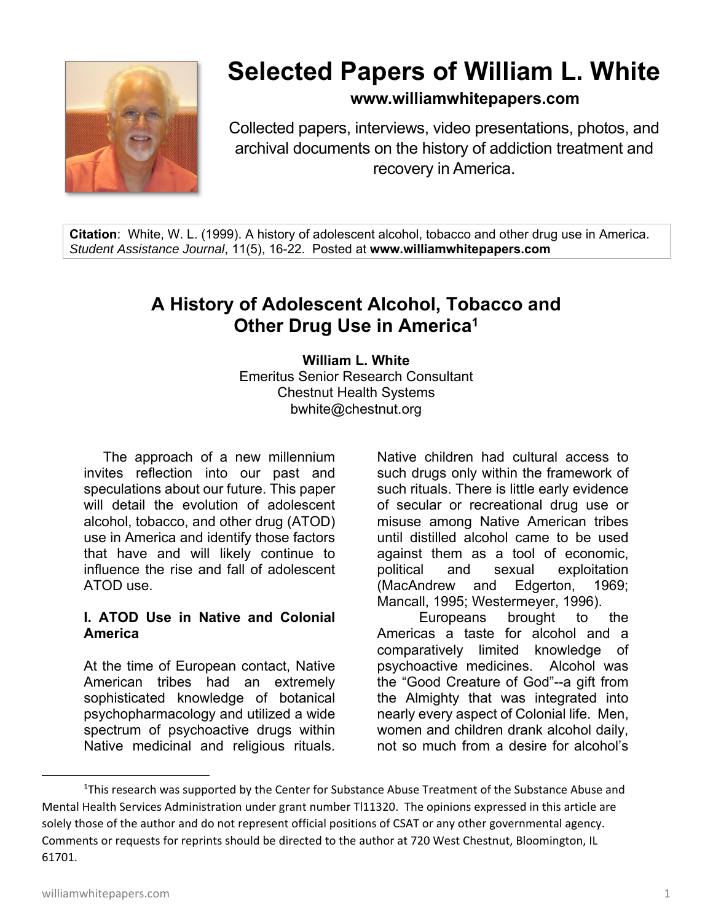

# **Selected Papers of William L. White**

**www.williamwhitepapers.com**

Collected papers, interviews, video presentations, photos, and archival documents on the history of addiction treatment and recovery in America.

**Citation**: White, W. L. (1999). A history of adolescent alcohol, tobacco and other drug use in America. *Student Assistance Journal*, 11(5), 16-22. Posted at **www.williamwhitepapers.com** 

# **A History of Adolescent Alcohol, Tobacco and Other Drug Use in America1**

**William L. White**  Emeritus Senior Research Consultant Chestnut Health Systems bwhite@chestnut.org

 The approach of a new millennium invites reflection into our past and speculations about our future. This paper will detail the evolution of adolescent alcohol, tobacco, and other drug (ATOD) use in America and identify those factors that have and will likely continue to influence the rise and fall of adolescent ATOD use.

#### **I. ATOD Use in Native and Colonial America**

At the time of European contact, Native American tribes had an extremely sophisticated knowledge of botanical psychopharmacology and utilized a wide spectrum of psychoactive drugs within Native medicinal and religious rituals.

Native children had cultural access to such drugs only within the framework of such rituals. There is little early evidence of secular or recreational drug use or misuse among Native American tribes until distilled alcohol came to be used against them as a tool of economic, political and sexual exploitation (MacAndrew and Edgerton, 1969; Mancall, 1995; Westermeyer, 1996).

Europeans brought to the Americas a taste for alcohol and a comparatively limited knowledge of psychoactive medicines. Alcohol was the "Good Creature of God"--a gift from the Almighty that was integrated into nearly every aspect of Colonial life. Men, women and children drank alcohol daily, not so much from a desire for alcohol's

<sup>&</sup>lt;sup>1</sup>This research was supported by the Center for Substance Abuse Treatment of the Substance Abuse and Mental Health Services Administration under grant number Tl11320. The opinions expressed in this article are solely those of the author and do not represent official positions of CSAT or any other governmental agency. Comments or requests for reprints should be directed to the author at 720 West Chestnut, Bloomington, IL 61701.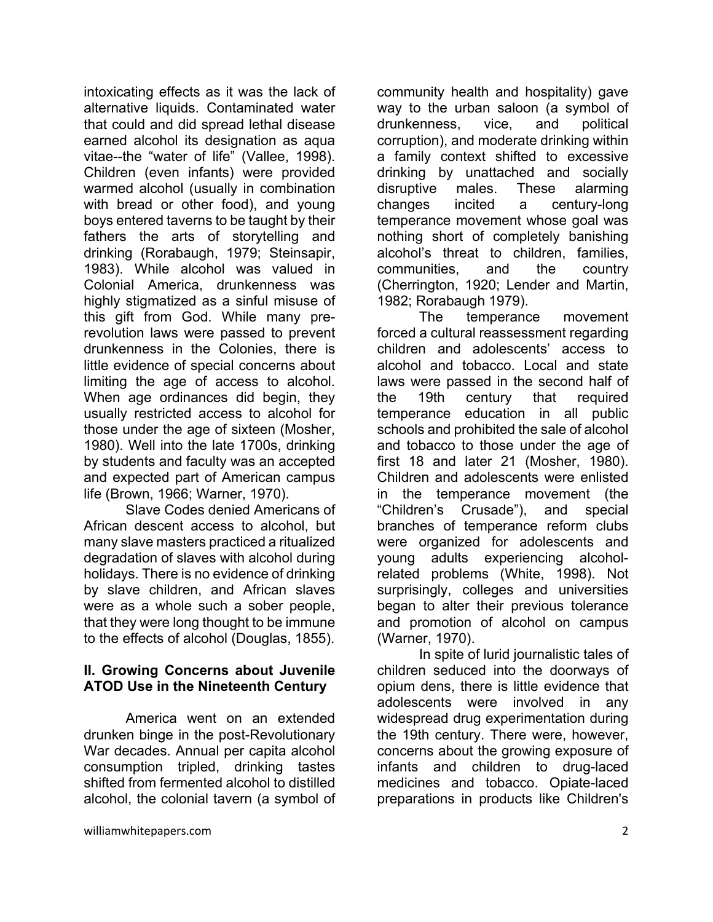intoxicating effects as it was the lack of alternative liquids. Contaminated water that could and did spread lethal disease earned alcohol its designation as aqua vitae--the "water of life" (Vallee, 1998). Children (even infants) were provided warmed alcohol (usually in combination with bread or other food), and young boys entered taverns to be taught by their fathers the arts of storytelling and drinking (Rorabaugh, 1979; Steinsapir, 1983). While alcohol was valued in Colonial America, drunkenness was highly stigmatized as a sinful misuse of this gift from God. While many prerevolution laws were passed to prevent drunkenness in the Colonies, there is little evidence of special concerns about limiting the age of access to alcohol. When age ordinances did begin, they usually restricted access to alcohol for those under the age of sixteen (Mosher, 1980). Well into the late 1700s, drinking by students and faculty was an accepted and expected part of American campus life (Brown, 1966; Warner, 1970).

 Slave Codes denied Americans of African descent access to alcohol, but many slave masters practiced a ritualized degradation of slaves with alcohol during holidays. There is no evidence of drinking by slave children, and African slaves were as a whole such a sober people, that they were long thought to be immune to the effects of alcohol (Douglas, 1855).

# **II. Growing Concerns about Juvenile ATOD Use in the Nineteenth Century**

America went on an extended drunken binge in the post-Revolutionary War decades. Annual per capita alcohol consumption tripled, drinking tastes shifted from fermented alcohol to distilled alcohol, the colonial tavern (a symbol of community health and hospitality) gave way to the urban saloon (a symbol of drunkenness, vice, and political corruption), and moderate drinking within a family context shifted to excessive drinking by unattached and socially disruptive males. These alarming changes incited a century-long temperance movement whose goal was nothing short of completely banishing alcohol's threat to children, families, communities, and the country (Cherrington, 1920; Lender and Martin, 1982; Rorabaugh 1979).

The temperance movement forced a cultural reassessment regarding children and adolescents' access to alcohol and tobacco. Local and state laws were passed in the second half of the 19th century that required temperance education in all public schools and prohibited the sale of alcohol and tobacco to those under the age of first 18 and later 21 (Mosher, 1980). Children and adolescents were enlisted in the temperance movement (the "Children's Crusade"), and special branches of temperance reform clubs were organized for adolescents and young adults experiencing alcoholrelated problems (White, 1998). Not surprisingly, colleges and universities began to alter their previous tolerance and promotion of alcohol on campus (Warner, 1970).

In spite of lurid journalistic tales of children seduced into the doorways of opium dens, there is little evidence that adolescents were involved in any widespread drug experimentation during the 19th century. There were, however, concerns about the growing exposure of infants and children to drug-laced medicines and tobacco. Opiate-laced preparations in products like Children's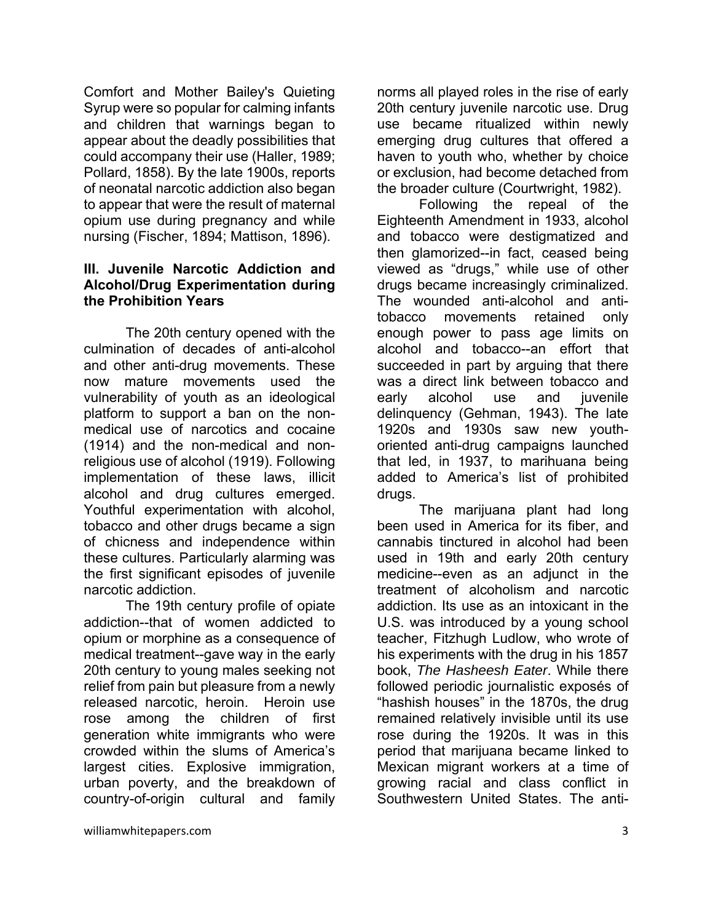Comfort and Mother Bailey's Quieting Syrup were so popular for calming infants and children that warnings began to appear about the deadly possibilities that could accompany their use (Haller, 1989; Pollard, 1858). By the late 1900s, reports of neonatal narcotic addiction also began to appear that were the result of maternal opium use during pregnancy and while nursing (Fischer, 1894; Mattison, 1896).

#### **III. Juvenile Narcotic Addiction and Alcohol/Drug Experimentation during the Prohibition Years**

The 20th century opened with the culmination of decades of anti-alcohol and other anti-drug movements. These now mature movements used the vulnerability of youth as an ideological platform to support a ban on the nonmedical use of narcotics and cocaine (1914) and the non-medical and nonreligious use of alcohol (1919). Following implementation of these laws, illicit alcohol and drug cultures emerged. Youthful experimentation with alcohol, tobacco and other drugs became a sign of chicness and independence within these cultures. Particularly alarming was the first significant episodes of juvenile narcotic addiction.

 The 19th century profile of opiate addiction--that of women addicted to opium or morphine as a consequence of medical treatment--gave way in the early 20th century to young males seeking not relief from pain but pleasure from a newly released narcotic, heroin. Heroin use rose among the children of first generation white immigrants who were crowded within the slums of America's largest cities. Explosive immigration, urban poverty, and the breakdown of country-of-origin cultural and family norms all played roles in the rise of early 20th century juvenile narcotic use. Drug use became ritualized within newly emerging drug cultures that offered a haven to youth who, whether by choice or exclusion, had become detached from the broader culture (Courtwright, 1982).

Following the repeal of the Eighteenth Amendment in 1933, alcohol and tobacco were destigmatized and then glamorized--in fact, ceased being viewed as "drugs," while use of other drugs became increasingly criminalized. The wounded anti-alcohol and antitobacco movements retained only enough power to pass age limits on alcohol and tobacco--an effort that succeeded in part by arguing that there was a direct link between tobacco and early alcohol use and juvenile delinquency (Gehman, 1943). The late 1920s and 1930s saw new youthoriented anti-drug campaigns launched that led, in 1937, to marihuana being added to America's list of prohibited drugs.

The marijuana plant had long been used in America for its fiber, and cannabis tinctured in alcohol had been used in 19th and early 20th century medicine--even as an adjunct in the treatment of alcoholism and narcotic addiction. Its use as an intoxicant in the U.S. was introduced by a young school teacher, Fitzhugh Ludlow, who wrote of his experiments with the drug in his 1857 book, *The Hasheesh Eater*. While there followed periodic journalistic exposés of "hashish houses" in the 1870s, the drug remained relatively invisible until its use rose during the 1920s. It was in this period that marijuana became linked to Mexican migrant workers at a time of growing racial and class conflict in Southwestern United States. The anti-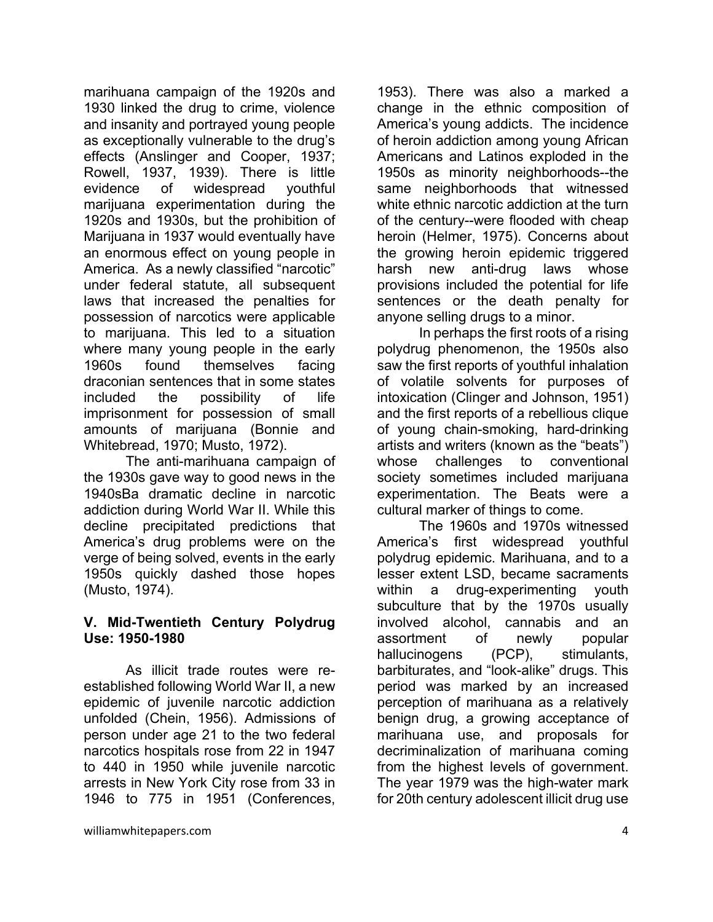marihuana campaign of the 1920s and 1930 linked the drug to crime, violence and insanity and portrayed young people as exceptionally vulnerable to the drug's effects (Anslinger and Cooper, 1937; Rowell, 1937, 1939). There is little evidence of widespread youthful marijuana experimentation during the 1920s and 1930s, but the prohibition of Marijuana in 1937 would eventually have an enormous effect on young people in America. As a newly classified "narcotic" under federal statute, all subsequent laws that increased the penalties for possession of narcotics were applicable to marijuana. This led to a situation where many young people in the early 1960s found themselves facing draconian sentences that in some states included the possibility of life imprisonment for possession of small amounts of marijuana (Bonnie and Whitebread, 1970; Musto, 1972).

The anti-marihuana campaign of the 1930s gave way to good news in the 1940sBa dramatic decline in narcotic addiction during World War II. While this decline precipitated predictions that America's drug problems were on the verge of being solved, events in the early 1950s quickly dashed those hopes (Musto, 1974).

#### **V. Mid-Twentieth Century Polydrug Use: 1950-1980**

 As illicit trade routes were reestablished following World War II, a new epidemic of juvenile narcotic addiction unfolded (Chein, 1956). Admissions of person under age 21 to the two federal narcotics hospitals rose from 22 in 1947 to 440 in 1950 while juvenile narcotic arrests in New York City rose from 33 in 1946 to 775 in 1951 (Conferences,

1953). There was also a marked a change in the ethnic composition of America's young addicts. The incidence of heroin addiction among young African Americans and Latinos exploded in the 1950s as minority neighborhoods--the same neighborhoods that witnessed white ethnic narcotic addiction at the turn of the century--were flooded with cheap heroin (Helmer, 1975). Concerns about the growing heroin epidemic triggered harsh new anti-drug laws whose provisions included the potential for life sentences or the death penalty for anyone selling drugs to a minor.

In perhaps the first roots of a rising polydrug phenomenon, the 1950s also saw the first reports of youthful inhalation of volatile solvents for purposes of intoxication (Clinger and Johnson, 1951) and the first reports of a rebellious clique of young chain-smoking, hard-drinking artists and writers (known as the "beats") whose challenges to conventional society sometimes included marijuana experimentation. The Beats were a cultural marker of things to come.

The 1960s and 1970s witnessed America's first widespread youthful polydrug epidemic. Marihuana, and to a lesser extent LSD, became sacraments within a drug-experimenting youth subculture that by the 1970s usually involved alcohol, cannabis and an assortment of newly popular hallucinogens (PCP), stimulants, barbiturates, and "look-alike" drugs. This period was marked by an increased perception of marihuana as a relatively benign drug, a growing acceptance of marihuana use, and proposals for decriminalization of marihuana coming from the highest levels of government. The year 1979 was the high-water mark for 20th century adolescent illicit drug use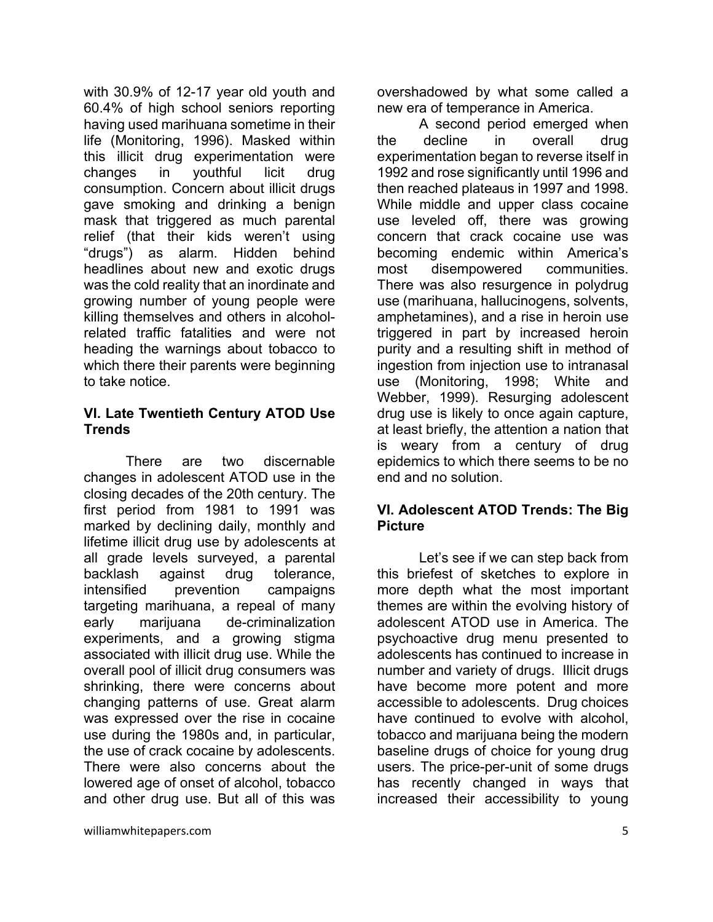with 30.9% of 12-17 year old youth and 60.4% of high school seniors reporting having used marihuana sometime in their life (Monitoring, 1996). Masked within this illicit drug experimentation were changes in youthful licit drug consumption. Concern about illicit drugs gave smoking and drinking a benign mask that triggered as much parental relief (that their kids weren't using "drugs") as alarm. Hidden behind headlines about new and exotic drugs was the cold reality that an inordinate and growing number of young people were killing themselves and others in alcoholrelated traffic fatalities and were not heading the warnings about tobacco to which there their parents were beginning to take notice.

#### **VI. Late Twentieth Century ATOD Use Trends**

There are two discernable changes in adolescent ATOD use in the closing decades of the 20th century. The first period from 1981 to 1991 was marked by declining daily, monthly and lifetime illicit drug use by adolescents at all grade levels surveyed, a parental backlash against drug tolerance, intensified prevention campaigns targeting marihuana, a repeal of many early marijuana de-criminalization experiments, and a growing stigma associated with illicit drug use. While the overall pool of illicit drug consumers was shrinking, there were concerns about changing patterns of use. Great alarm was expressed over the rise in cocaine use during the 1980s and, in particular, the use of crack cocaine by adolescents. There were also concerns about the lowered age of onset of alcohol, tobacco and other drug use. But all of this was

overshadowed by what some called a new era of temperance in America.

 A second period emerged when the decline in overall drug experimentation began to reverse itself in 1992 and rose significantly until 1996 and then reached plateaus in 1997 and 1998. While middle and upper class cocaine use leveled off, there was growing concern that crack cocaine use was becoming endemic within America's most disempowered communities. There was also resurgence in polydrug use (marihuana, hallucinogens, solvents, amphetamines), and a rise in heroin use triggered in part by increased heroin purity and a resulting shift in method of ingestion from injection use to intranasal use (Monitoring, 1998; White and Webber, 1999). Resurging adolescent drug use is likely to once again capture, at least briefly, the attention a nation that is weary from a century of drug epidemics to which there seems to be no end and no solution.

# **VI. Adolescent ATOD Trends: The Big Picture**

Let's see if we can step back from this briefest of sketches to explore in more depth what the most important themes are within the evolving history of adolescent ATOD use in America. The psychoactive drug menu presented to adolescents has continued to increase in number and variety of drugs. Illicit drugs have become more potent and more accessible to adolescents. Drug choices have continued to evolve with alcohol, tobacco and marijuana being the modern baseline drugs of choice for young drug users. The price-per-unit of some drugs has recently changed in ways that increased their accessibility to young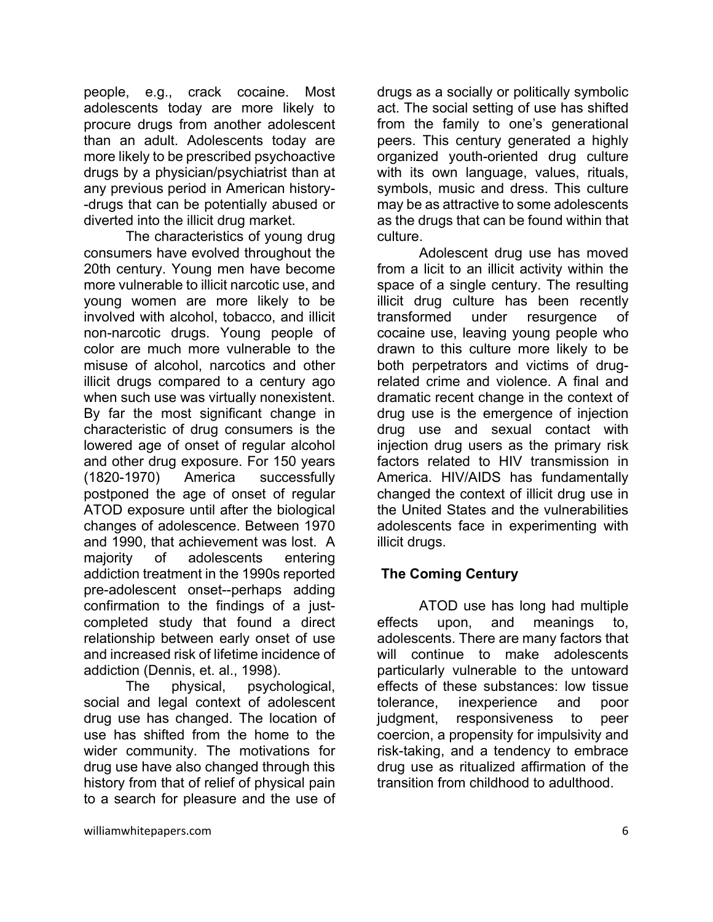people, e.g., crack cocaine. Most adolescents today are more likely to procure drugs from another adolescent than an adult. Adolescents today are more likely to be prescribed psychoactive drugs by a physician/psychiatrist than at any previous period in American history- -drugs that can be potentially abused or diverted into the illicit drug market.

The characteristics of young drug consumers have evolved throughout the 20th century. Young men have become more vulnerable to illicit narcotic use, and young women are more likely to be involved with alcohol, tobacco, and illicit non-narcotic drugs. Young people of color are much more vulnerable to the misuse of alcohol, narcotics and other illicit drugs compared to a century ago when such use was virtually nonexistent. By far the most significant change in characteristic of drug consumers is the lowered age of onset of regular alcohol and other drug exposure. For 150 years (1820-1970) America successfully postponed the age of onset of regular ATOD exposure until after the biological changes of adolescence. Between 1970 and 1990, that achievement was lost. A majority of adolescents entering addiction treatment in the 1990s reported pre-adolescent onset--perhaps adding confirmation to the findings of a justcompleted study that found a direct relationship between early onset of use and increased risk of lifetime incidence of addiction (Dennis, et. al., 1998).

The physical, psychological, social and legal context of adolescent drug use has changed. The location of use has shifted from the home to the wider community. The motivations for drug use have also changed through this history from that of relief of physical pain to a search for pleasure and the use of

drugs as a socially or politically symbolic act. The social setting of use has shifted from the family to one's generational peers. This century generated a highly organized youth-oriented drug culture with its own language, values, rituals, symbols, music and dress. This culture may be as attractive to some adolescents as the drugs that can be found within that culture.

Adolescent drug use has moved from a licit to an illicit activity within the space of a single century. The resulting illicit drug culture has been recently transformed under resurgence of cocaine use, leaving young people who drawn to this culture more likely to be both perpetrators and victims of drugrelated crime and violence. A final and dramatic recent change in the context of drug use is the emergence of injection drug use and sexual contact with injection drug users as the primary risk factors related to HIV transmission in America. HIV/AIDS has fundamentally changed the context of illicit drug use in the United States and the vulnerabilities adolescents face in experimenting with illicit drugs.

# **The Coming Century**

ATOD use has long had multiple effects upon, and meanings to, adolescents. There are many factors that will continue to make adolescents particularly vulnerable to the untoward effects of these substances: low tissue tolerance, inexperience and poor judgment, responsiveness to peer coercion, a propensity for impulsivity and risk-taking, and a tendency to embrace drug use as ritualized affirmation of the transition from childhood to adulthood.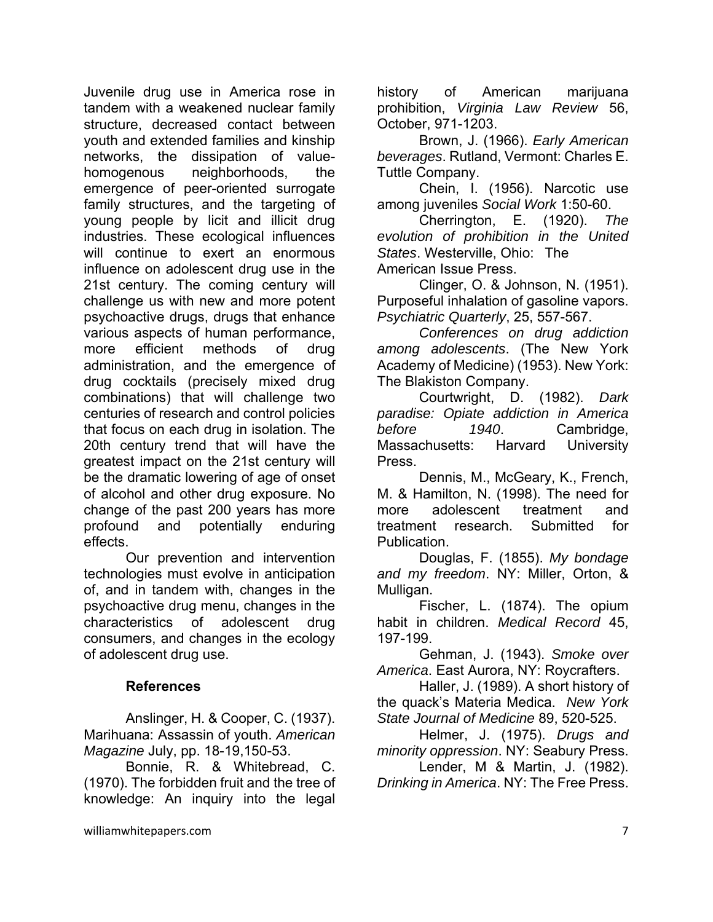Juvenile drug use in America rose in tandem with a weakened nuclear family structure, decreased contact between youth and extended families and kinship networks, the dissipation of valuehomogenous neighborhoods, the emergence of peer-oriented surrogate family structures, and the targeting of young people by licit and illicit drug industries. These ecological influences will continue to exert an enormous influence on adolescent drug use in the 21st century. The coming century will challenge us with new and more potent psychoactive drugs, drugs that enhance various aspects of human performance, more efficient methods of drug administration, and the emergence of drug cocktails (precisely mixed drug combinations) that will challenge two centuries of research and control policies that focus on each drug in isolation. The 20th century trend that will have the greatest impact on the 21st century will be the dramatic lowering of age of onset of alcohol and other drug exposure. No change of the past 200 years has more profound and potentially enduring effects.

Our prevention and intervention technologies must evolve in anticipation of, and in tandem with, changes in the psychoactive drug menu, changes in the characteristics of adolescent drug consumers, and changes in the ecology of adolescent drug use.

#### **References**

Anslinger, H. & Cooper, C. (1937). Marihuana: Assassin of youth. *American Magazine* July, pp. 18-19,150-53.

Bonnie, R. & Whitebread, C. (1970). The forbidden fruit and the tree of knowledge: An inquiry into the legal history of American marijuana prohibition, *Virginia Law Review* 56, October, 971-1203.

Brown, J. (1966). *Early American beverages*. Rutland, Vermont: Charles E. Tuttle Company.

Chein, I. (1956). Narcotic use among juveniles *Social Work* 1:50-60.

Cherrington, E. (1920). *The evolution of prohibition in the United States*. Westerville, Ohio: The American Issue Press.

Clinger, O. & Johnson, N. (1951). Purposeful inhalation of gasoline vapors. *Psychiatric Quarterly*, 25, 557-567.

*Conferences on drug addiction among adolescents*. (The New York Academy of Medicine) (1953). New York: The Blakiston Company.

Courtwright, D. (1982). *Dark paradise: Opiate addiction in America before 1940*. Cambridge, Massachusetts: Harvard University Press.

Dennis, M., McGeary, K., French, M. & Hamilton, N. (1998). The need for more adolescent treatment and treatment research. Submitted for Publication.

Douglas, F. (1855). *My bondage and my freedom*. NY: Miller, Orton, & Mulligan.

Fischer, L. (1874). The opium habit in children. *Medical Record* 45, 197-199.

Gehman, J. (1943). *Smoke over America*. East Aurora, NY: Roycrafters.

Haller, J. (1989). A short history of the quack's Materia Medica. *New York State Journal of Medicine* 89, 520-525.

Helmer, J. (1975). *Drugs and minority oppression*. NY: Seabury Press.

Lender, M & Martin, J. (1982). *Drinking in America*. NY: The Free Press.